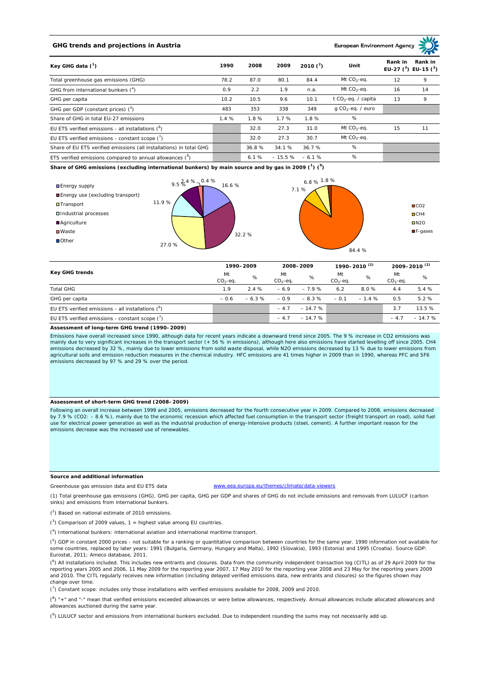# **GHG trends and projections in Austria**

**European Environment Ag** 

|                                                                     |      |       |          | 2010 $(^{2})$ | Unit                            | Rank in                   | Rank in |
|---------------------------------------------------------------------|------|-------|----------|---------------|---------------------------------|---------------------------|---------|
| Key GHG data $(^1)$                                                 | 1990 | 2008  | 2009     |               |                                 | EU-27 $(^3)$ EU-15 $(^3)$ |         |
| Total greenhouse gas emissions (GHG)                                | 78.2 | 87.0  | 80.1     | 84.4          | Mt $CO2$ -eq.                   | 12                        | 9       |
| GHG from international bunkers $(^4)$                               | 0.9  | 2.2   | 1.9      | n.a.          | Mt $CO_2$ -eq.                  | 16                        | 14      |
| GHG per capita                                                      | 10.2 | 10.5  | 9.6      | 10.1          | t CO <sub>2</sub> -eq. / capita | 13                        | 9       |
| GHG per GDP (constant prices) $(^5)$                                | 483  | 353   | 338      | 349           | $q$ CO <sub>2</sub> -eq. / euro |                           |         |
| Share of GHG in total EU-27 emissions                               | 1.4% | 1.8%  | 1.7%     | 1.8%          | %                               |                           |         |
| EU ETS verified emissions - all installations $(^6)$                |      | 32.0  | 27.3     | 31.0          | Mt $CO_2$ -eq.                  | 15                        | 11      |
| EU ETS verified emissions - constant scope $\binom{7}{1}$           |      | 32.0  | 27.3     | 30.7          | Mt $CO_2$ -eq.                  |                           |         |
| Share of EU ETS verified emissions (all installations) in total GHG |      | 36.8% | 34.1%    | 36.7%         | %                               |                           |         |
| ETS verified emissions compared to annual allowances $(^8)$         |      | 6.1%  | $-15.5%$ | $-6.1%$       | %                               |                           |         |

**Share of GHG emissions (excluding international bunkers) by main source and by gas in 2009 (<sup>1</sup> ) (<sup>9</sup> )**



| Key GHG trends                                       |                 | 1990-2009 |                 | 2008-2009 |                 | 1990-2010 <sup>(2)</sup> |                 | 2009-2010 $(2)$ |  |
|------------------------------------------------------|-----------------|-----------|-----------------|-----------|-----------------|--------------------------|-----------------|-----------------|--|
|                                                      | Mt<br>$CO2-eq.$ | %         | Mt<br>$CO2-ea.$ | %         | Mt<br>$CO2-eq.$ | %                        | Mt<br>$CO2-ea.$ | %               |  |
| <b>Total GHG</b>                                     | 1.9             | 2.4%      | $-6.9$          | $-7.9%$   | 6.2             | 8.0%                     | 4.4             | 5.4%            |  |
| GHG per capita                                       | $-0.6$          | $-6.3%$   | $-0.9$          | $-8.3%$   | $-0.1$          | $-1.4%$                  | 0.5             | 5.2%            |  |
| EU ETS verified emissions - all installations $(^6)$ |                 |           | $-4.7$          | $-14.7%$  |                 |                          | 3.7             | 13.5 %          |  |
| EU ETS verified emissions - constant scope $(7)$     |                 |           | $-4.7$          | $-14.7%$  |                 |                          | $-4.7$          | $-14.7%$        |  |

#### **Assessment of long-term GHG trend (1990–2009)**

Emissions have overall increased since 1990, although data for recent years indicate a downward trend since 2005. The 9 % increase in CO2 emissions was mainly due to very significant increases in the transport sector (+ 56 % in emissions), although here also emissions have started levelling off since 2005. CH4 emissions decreased by 32 %, mainly due to lower emissions from solid waste disposal, while N2O emissions decreased by 13 % due to lower emissions from<br>agricultural soils and emission reduction measures in the chemical ind emissions decreased by 97 % and 29 % over the period.

## **Assessment of short-term GHG trend (2008–2009)**

Following an overall increase between 1999 and 2005, emissions decreased for the fourth consecutive year in 2009. Compared to 2008, emissions decreased by 7.9 % (CO2: - 8.6 %), mainly due to the economic recession which affected fuel consumption in the transport sector (freight transport on road), solid fuel use for electrical power generation as well as the industrial production of energy-intensive products (steel, cement). A further important reason for the emissions decrease was the increased use of renewables.

## **Source and additional information**

www.eea.europa.eu/themes/climate/data-viewers

(1) Total greenhouse gas emissions (GHG), GHG per capita, GHG per GDP and shares of GHG do not include emissions and removals from LULUCF (carbon sinks) and emissions from international bunkers.

( 2 ) Based on national estimate of 2010 emissions.

Greenhouse gas emission data and EU ETS data

 $(3)$  Comparison of 2009 values, 1 = highest value among EU countries.

( 4 ) International bunkers: international aviation and international maritime transport.

 $(^{5})$  GDP in constant 2000 prices - not suitable for a ranking or quantitative comparison between countries for the same year. 1990 information not available for some countries, replaced by later years: 1991 (Bulgaria, Germany, Hungary and Malta), 1992 (Slovakia), 1993 (Estonia) and 1995 (Croatia). Source GDP: Eurostat, 2011; Ameco database, 2011.

(<sup>6</sup>) All installations included. This includes new entrants and closures. Data from the community independent transaction log (CITL) as of 29 April 2009 for the<br>reporting years 2005 and 2006, 11 May 2009 for the reporting and 2010. The CITL regularly receives new information (including delayed verified emissions data, new entrants and closures) so the figures shown may change over time.

 $\binom{7}{1}$  Constant scope: includes only those installations with verified emissions available for 2008, 2009 and 2010.

 $(^{8}$ ) " $+$ " and "-" mean that verified emissions exceeded allowances or were below allowances, respectively. Annual allowances include allocated allowances and allowances auctioned during the same year.

 $(2)$  LULUCF sector and emissions from international bunkers excluded. Due to independent rounding the sums may not necessarily add up.